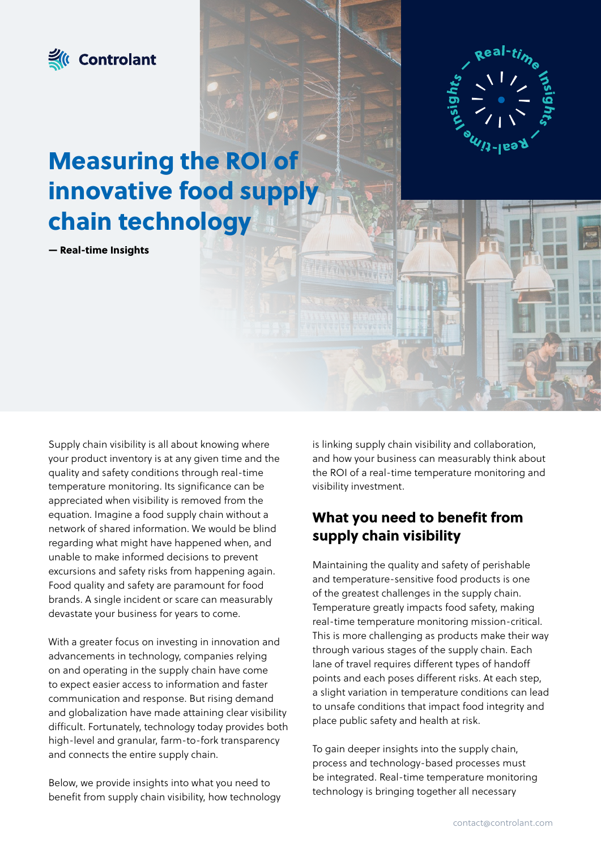

# Measuring the ROI of innovative food supply chain technology

— Real-time Insights



Supply chain visibility is all about knowing where your product inventory is at any given time and the quality and safety conditions through real-time temperature monitoring. Its significance can be appreciated when visibility is removed from the equation. Imagine a food supply chain without a network of shared information. We would be blind regarding what might have happened when, and unable to make informed decisions to prevent excursions and safety risks from happening again. Food quality and safety are paramount for food brands. A single incident or scare can measurably devastate your business for years to come.

With a greater focus on investing in innovation and advancements in technology, companies relying on and operating in the supply chain have come to expect easier access to information and faster communication and response. But rising demand and globalization have made attaining clear visibility difficult. Fortunately, technology today provides both high-level and granular, farm-to-fork transparency and connects the entire supply chain.

Below, we provide insights into what you need to benefit from supply chain visibility, how technology is linking supply chain visibility and collaboration, and how your business can measurably think about the ROI of a real-time temperature monitoring and visibility investment.

## What you need to benefit from supply chain visibility

Maintaining the quality and safety of perishable and temperature-sensitive food products is one of the greatest challenges in the supply chain. Temperature greatly impacts food safety, making real-time temperature monitoring mission-critical. This is more challenging as products make their way through various stages of the supply chain. Each lane of travel requires different types of handoff points and each poses different risks. At each step, a slight variation in temperature conditions can lead to unsafe conditions that impact food integrity and place public safety and health at risk.

To gain deeper insights into the supply chain, process and technology-based processes must be integrated. Real-time temperature monitoring technology is bringing together all necessary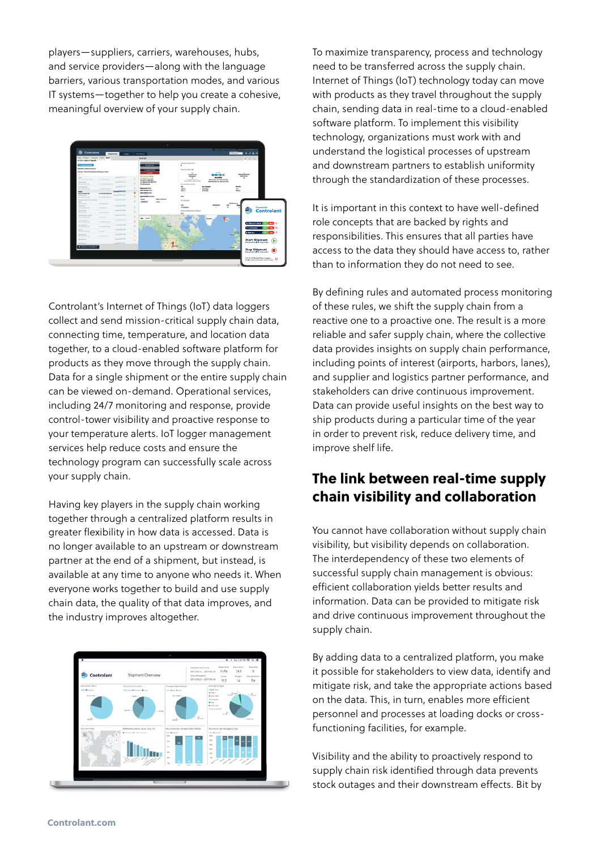players—suppliers, carriers, warehouses, hubs, and service providers—along with the language barriers, various transportation modes, and various IT systems—together to help you create a cohesive, meaningful overview of your supply chain.



Controlant's Internet of Things (IoT) data loggers collect and send mission-critical supply chain data, connecting time, temperature, and location data together, to a cloud-enabled software platform for products as they move through the supply chain. Data for a single shipment or the entire supply chain can be viewed on-demand. Operational services, including 24/7 monitoring and response, provide control-tower visibility and proactive response to your temperature alerts. IoT logger management services help reduce costs and ensure the technology program can successfully scale across your supply chain.

Having key players in the supply chain working together through a centralized platform results in greater flexibility in how data is accessed. Data is no longer available to an upstream or downstream partner at the end of a shipment, but instead, is available at any time to anyone who needs it. When everyone works together to build and use supply chain data, the quality of that data improves, and the industry improves altogether.



To maximize transparency, process and technology need to be transferred across the supply chain. Internet of Things (IoT) technology today can move with products as they travel throughout the supply chain, sending data in real-time to a cloud-enabled software platform. To implement this visibility technology, organizations must work with and understand the logistical processes of upstream and downstream partners to establish uniformity through the standardization of these processes.

It is important in this context to have well-defined role concepts that are backed by rights and responsibilities. This ensures that all parties have access to the data they should have access to, rather than to information they do not need to see.

By defining rules and automated process monitoring of these rules, we shift the supply chain from a reactive one to a proactive one. The result is a more reliable and safer supply chain, where the collective data provides insights on supply chain performance, including points of interest (airports, harbors, lanes), and supplier and logistics partner performance, and stakeholders can drive continuous improvement. Data can provide useful insights on the best way to ship products during a particular time of the year in order to prevent risk, reduce delivery time, and improve shelf life.

## The link between real-time supply chain visibility and collaboration

You cannot have collaboration without supply chain visibility, but visibility depends on collaboration. The interdependency of these two elements of successful supply chain management is obvious: efficient collaboration yields better results and information. Data can be provided to mitigate risk and drive continuous improvement throughout the supply chain.

By adding data to a centralized platform, you make it possible for stakeholders to view data, identify and mitigate risk, and take the appropriate actions based on the data. This, in turn, enables more efficient personnel and processes at loading docks or crossfunctioning facilities, for example.

Visibility and the ability to proactively respond to supply chain risk identified through data prevents stock outages and their downstream effects. Bit by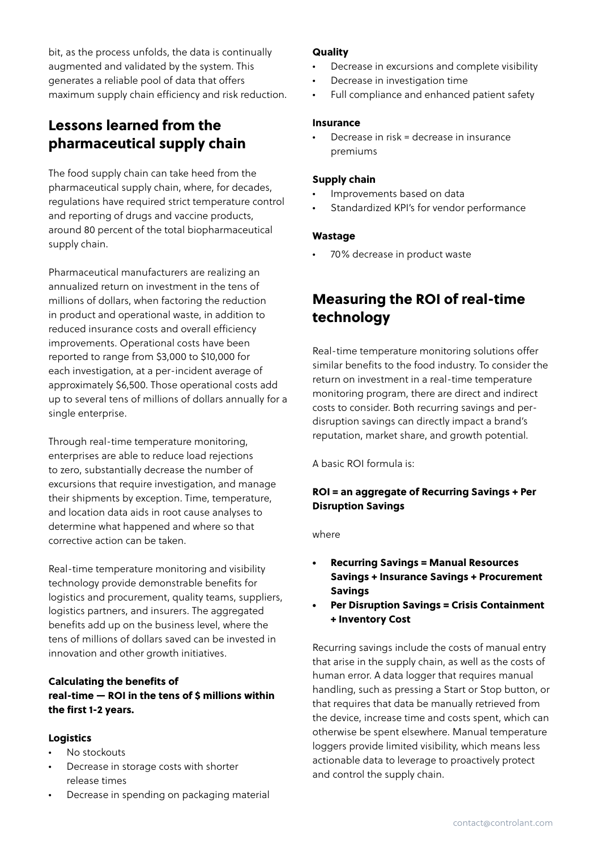bit, as the process unfolds, the data is continually augmented and validated by the system. This generates a reliable pool of data that offers maximum supply chain efficiency and risk reduction.

## Lessons learned from the pharmaceutical supply chain

The food supply chain can take heed from the pharmaceutical supply chain, where, for decades, regulations have required strict temperature control and reporting of drugs and vaccine products, around 80 percent of the total biopharmaceutical supply chain.

Pharmaceutical manufacturers are realizing an annualized return on investment in the tens of millions of dollars, when factoring the reduction in product and operational waste, in addition to reduced insurance costs and overall efficiency improvements. Operational costs have been reported to range from \$3,000 to \$10,000 for each investigation, at a per-incident average of approximately \$6,500. Those operational costs add up to several tens of millions of dollars annually for a single enterprise.

Through real-time temperature monitoring, enterprises are able to reduce load rejections to zero, substantially decrease the number of excursions that require investigation, and manage their shipments by exception. Time, temperature, and location data aids in root cause analyses to determine what happened and where so that corrective action can be taken.

Real-time temperature monitoring and visibility technology provide demonstrable benefits for logistics and procurement, quality teams, suppliers, logistics partners, and insurers. The aggregated benefits add up on the business level, where the tens of millions of dollars saved can be invested in innovation and other growth initiatives.

#### Calculating the benefits of real-time  $-$  ROI in the tens of \$ millions within the first 1-2 years.

#### Logistics

- No stockouts
- Decrease in storage costs with shorter release times
- Decrease in spending on packaging material

#### Quality

- Decrease in excursions and complete visibility
- Decrease in investigation time
- Full compliance and enhanced patient safety

#### Insurance

• Decrease in risk = decrease in insurance premiums

#### Supply chain

- Improvements based on data
- Standardized KPI's for vendor performance

#### Wastage

70% decrease in product waste

## Measuring the ROI of real-time technology

Real-time temperature monitoring solutions offer similar benefits to the food industry. To consider the return on investment in a real-time temperature monitoring program, there are direct and indirect costs to consider. Both recurring savings and perdisruption savings can directly impact a brand's reputation, market share, and growth potential.

A basic ROI formula is:

#### ROI = an aggregate of Recurring Savings + Per Disruption Savings

where

- Recurring Savings = Manual Resources Savings + Insurance Savings + Procurement **Savings**
- Per Disruption Savings = Crisis Containment + Inventory Cost

Recurring savings include the costs of manual entry that arise in the supply chain, as well as the costs of human error. A data logger that requires manual handling, such as pressing a Start or Stop button, or that requires that data be manually retrieved from the device, increase time and costs spent, which can otherwise be spent elsewhere. Manual temperature loggers provide limited visibility, which means less actionable data to leverage to proactively protect and control the supply chain.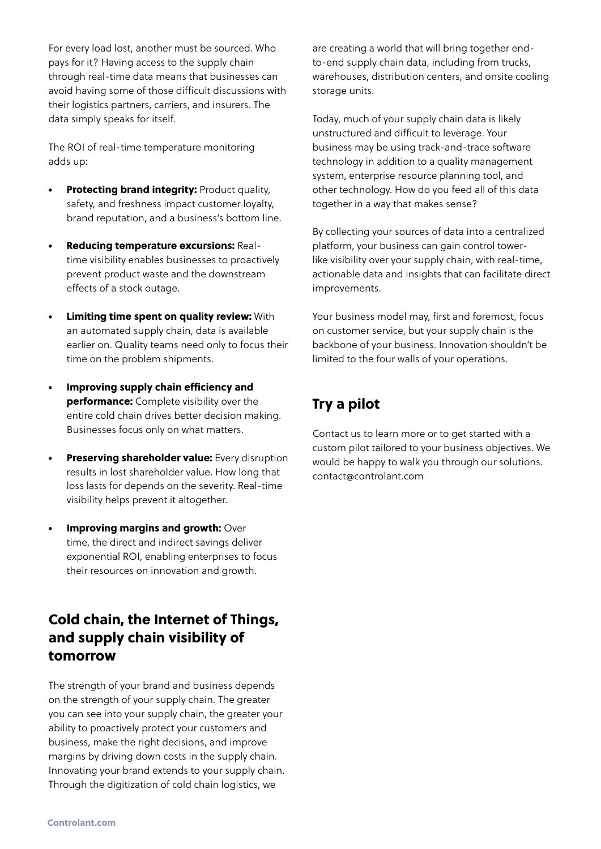For every load lost, another must be sourced. Who pays for it? Having access to the supply chain through real-time data means that businesses can avoid having some of those difficult discussions with their logistics partners, carriers, and insurers. The data simply speaks for itself.

The ROI of real-time temperature monitoring adds up:

- Protecting brand integrity: Product quality, safety, and freshness impact customer loyalty, brand reputation, and a business's bottom line.
- Reducing temperature excursions: Realtime visibility enables businesses to proactively prevent product waste and the downstream effects of a stock outage.
- Limiting time spent on quality review: With an automated supply chain, data is available earlier on. Quality teams need only to focus their time on the problem shipments.
- Improving supply chain efficiency and **performance:** Complete visibility over the entire cold chain drives better decision making. Businesses focus only on what matters.
- Preserving shareholder value: Every disruption results in lost shareholder value. How long that loss lasts for depends on the severity. Real-time visibility helps prevent it altogether.
- Improving margins and growth: Over time, the direct and indirect savings deliver exponential ROI, enabling enterprises to focus their resources on innovation and growth.

## Cold chain, the Internet of Things, and supply chain visibility of tomorrow

The strength of your brand and business depends on the strength of your supply chain. The greater you can see into your supply chain, the greater your ability to proactively protect your customers and business, make the right decisions, and improve margins by driving down costs in the supply chain. Innovating your brand extends to your supply chain. Through the digitization of cold chain logistics, we

are creating a world that will bring together endto-end supply chain data, including from trucks, warehouses, distribution centers, and onsite cooling storage units.

Today, much of your supply chain data is likely unstructured and difficult to leverage. Your business may be using track-and-trace software technology in addition to a quality management system, enterprise resource planning tool, and other technology. How do you feed all of this data together in a way that makes sense?

By collecting your sources of data into a centralized platform, your business can gain control towerlike visibility over your supply chain, with real-time, actionable data and insights that can facilitate direct improvements.

Your business model may, first and foremost, focus on customer service, but your supply chain is the backbone of your business. Innovation shouldn't be limited to the four walls of your operations.

## Try a pilot

Contact us to learn more or to get started with a custom pilot tailored to your business objectives. We would be happy to walk you through our solutions. contact@controlant.com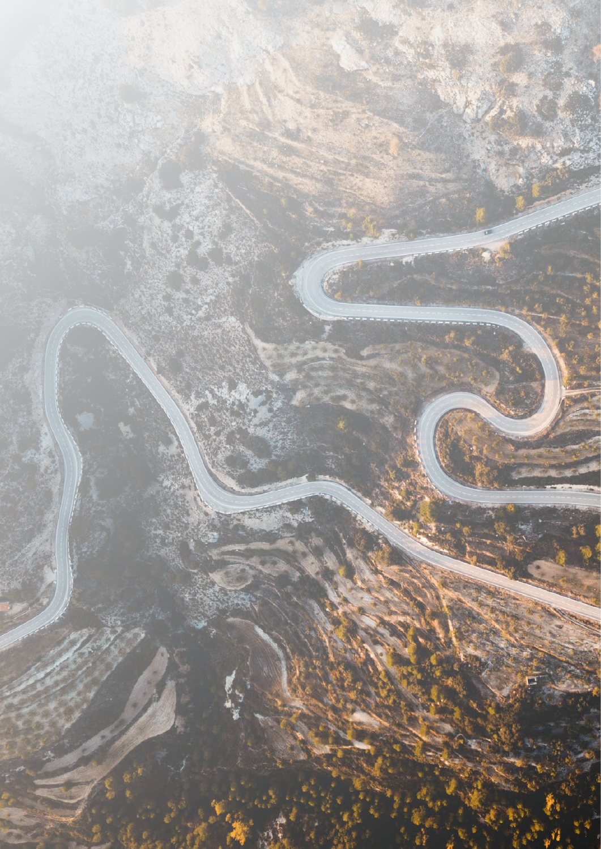